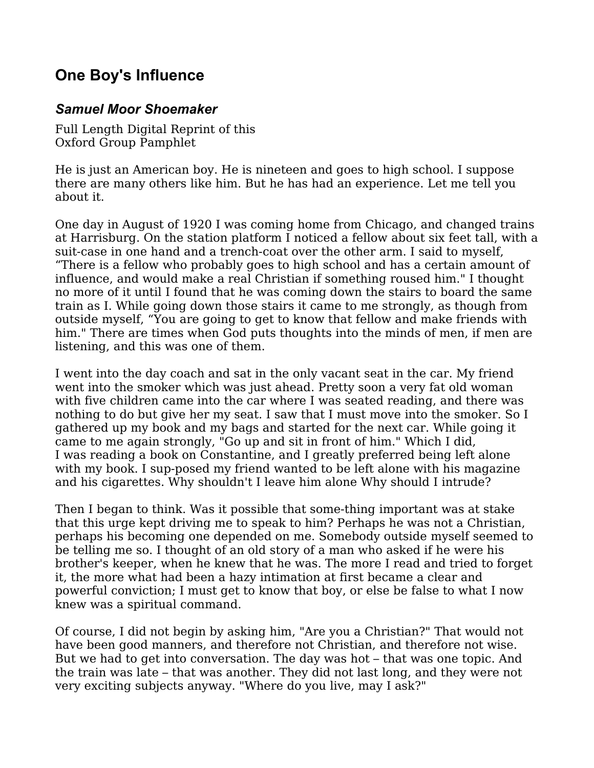## **One Boy's Influence**

## *Samuel Moor Shoemaker*

Full Length Digital Reprint of this Oxford Group Pamphlet

He is just an American boy. He is nineteen and goes to high school. I suppose there are many others like him. But he has had an experience. Let me tell you about it.

One day in August of 1920 I was coming home from Chicago, and changed trains at Harrisburg. On the station platform I noticed a fellow about six feet tall, with a suit-case in one hand and a trench-coat over the other arm. I said to myself, "There is a fellow who probably goes to high school and has a certain amount of influence, and would make a real Christian if something roused him." I thought no more of it until I found that he was coming down the stairs to board the same train as I. While going down those stairs it came to me strongly, as though from outside myself, "You are going to get to know that fellow and make friends with him." There are times when God puts thoughts into the minds of men, if men are listening, and this was one of them.

I went into the day coach and sat in the only vacant seat in the car. My friend went into the smoker which was just ahead. Pretty soon a very fat old woman with five children came into the car where I was seated reading, and there was nothing to do but give her my seat. I saw that I must move into the smoker. So I gathered up my book and my bags and started for the next car. While going it came to me again strongly, "Go up and sit in front of him." Which I did, I was reading a book on Constantine, and I greatly preferred being left alone with my book. I sup-posed my friend wanted to be left alone with his magazine and his cigarettes. Why shouldn't I leave him alone Why should I intrude?

Then I began to think. Was it possible that some-thing important was at stake that this urge kept driving me to speak to him? Perhaps he was not a Christian, perhaps his becoming one depended on me. Somebody outside myself seemed to be telling me so. I thought of an old story of a man who asked if he were his brother's keeper, when he knew that he was. The more I read and tried to forget it, the more what had been a hazy intimation at first became a clear and powerful conviction; I must get to know that boy, or else be false to what I now knew was a spiritual command.

Of course, I did not begin by asking him, "Are you a Christian?" That would not have been good manners, and therefore not Christian, and therefore not wise. But we had to get into conversation. The day was hot – that was one topic. And the train was late – that was another. They did not last long, and they were not very exciting subjects anyway. "Where do you live, may I ask?"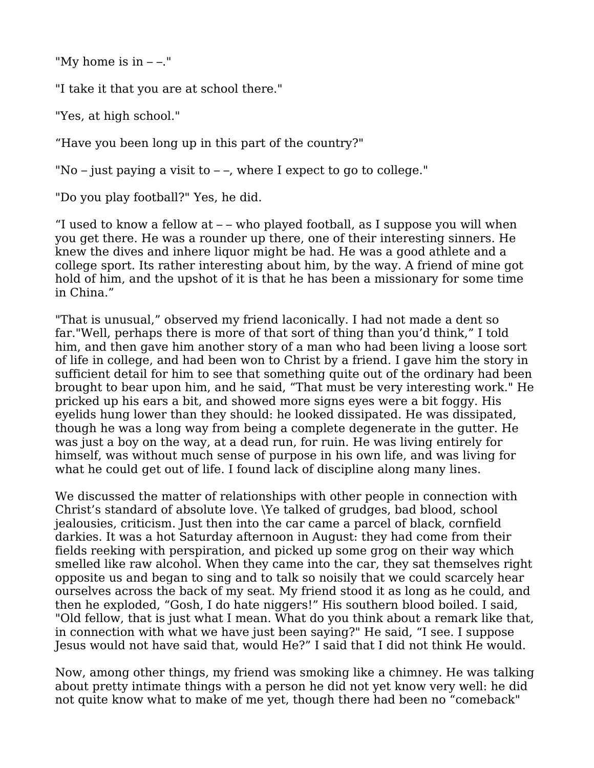"My home is in  $--$ ."

"I take it that you are at school there."

"Yes, at high school."

"Have you been long up in this part of the country?"

"No – just paying a visit to  $-$  –, where I expect to go to college."

"Do you play football?" Yes, he did.

"I used to know a fellow at – – who played football, as I suppose you will when you get there. He was a rounder up there, one of their interesting sinners. He knew the dives and inhere liquor might be had. He was a good athlete and a college sport. Its rather interesting about him, by the way. A friend of mine got hold of him, and the upshot of it is that he has been a missionary for some time in China."

"That is unusual," observed my friend laconically. I had not made a dent so far."Well, perhaps there is more of that sort of thing than you'd think," I told him, and then gave him another story of a man who had been living a loose sort of life in college, and had been won to Christ by a friend. I gave him the story in sufficient detail for him to see that something quite out of the ordinary had been brought to bear upon him, and he said, "That must be very interesting work." He pricked up his ears a bit, and showed more signs eyes were a bit foggy. His eyelids hung lower than they should: he looked dissipated. He was dissipated, though he was a long way from being a complete degenerate in the gutter. He was just a boy on the way, at a dead run, for ruin. He was living entirely for himself, was without much sense of purpose in his own life, and was living for what he could get out of life. I found lack of discipline along many lines.

We discussed the matter of relationships with other people in connection with Christ's standard of absolute love. \Ye talked of grudges, bad blood, school jealousies, criticism. Just then into the car came a parcel of black, cornfield darkies. It was a hot Saturday afternoon in August: they had come from their fields reeking with perspiration, and picked up some grog on their way which smelled like raw alcohol. When they came into the car, they sat themselves right opposite us and began to sing and to talk so noisily that we could scarcely hear ourselves across the back of my seat. My friend stood it as long as he could, and then he exploded, "Gosh, I do hate niggers!" His southern blood boiled. I said, "Old fellow, that is just what I mean. What do you think about a remark like that, in connection with what we have just been saying?" He said, "I see. I suppose Jesus would not have said that, would He?" I said that I did not think He would.

Now, among other things, my friend was smoking like a chimney. He was talking about pretty intimate things with a person he did not yet know very well: he did not quite know what to make of me yet, though there had been no "comeback"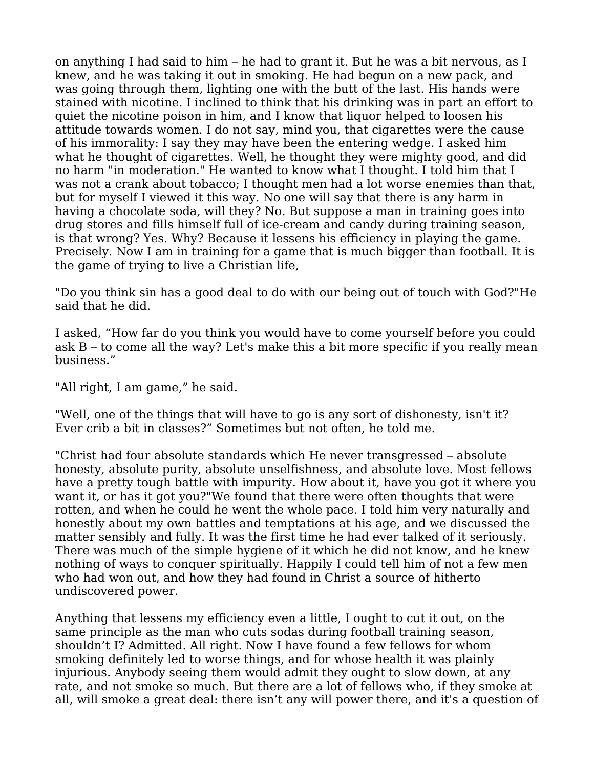on anything I had said to him – he had to grant it. But he was a bit nervous, as I knew, and he was taking it out in smoking. He had begun on a new pack, and was going through them, lighting one with the butt of the last. His hands were stained with nicotine. I inclined to think that his drinking was in part an effort to quiet the nicotine poison in him, and I know that liquor helped to loosen his attitude towards women. I do not say, mind you, that cigarettes were the cause of his immorality: I say they may have been the entering wedge. I asked him what he thought of cigarettes. Well, he thought they were mighty good, and did no harm "in moderation." He wanted to know what I thought. I told him that I was not a crank about tobacco; I thought men had a lot worse enemies than that, but for myself I viewed it this way. No one will say that there is any harm in having a chocolate soda, will they? No. But suppose a man in training goes into drug stores and fills himself full of ice-cream and candy during training season, is that wrong? Yes. Why? Because it lessens his efficiency in playing the game. Precisely. Now I am in training for a game that is much bigger than football. It is the game of trying to live a Christian life,

"Do you think sin has a good deal to do with our being out of touch with God?"He said that he did.

I asked, "How far do you think you would have to come yourself before you could ask B – to come all the way? Let's make this a bit more specific if you really mean business."

"All right, I am game," he said.

"Well, one of the things that will have to go is any sort of dishonesty, isn't it? Ever crib a bit in classes?" Sometimes but not often, he told me.

"Christ had four absolute standards which He never transgressed – absolute honesty, absolute purity, absolute unselfishness, and absolute love. Most fellows have a pretty tough battle with impurity. How about it, have you got it where you want it, or has it got you?"We found that there were often thoughts that were rotten, and when he could he went the whole pace. I told him very naturally and honestly about my own battles and temptations at his age, and we discussed the matter sensibly and fully. It was the first time he had ever talked of it seriously. There was much of the simple hygiene of it which he did not know, and he knew nothing of ways to conquer spiritually. Happily I could tell him of not a few men who had won out, and how they had found in Christ a source of hitherto undiscovered power.

Anything that lessens my efficiency even a little, I ought to cut it out, on the same principle as the man who cuts sodas during football training season, shouldn't I? Admitted. All right. Now I have found a few fellows for whom smoking definitely led to worse things, and for whose health it was plainly injurious. Anybody seeing them would admit they ought to slow down, at any rate, and not smoke so much. But there are a lot of fellows who, if they smoke at all, will smoke a great deal: there isn't any will power there, and it's a question of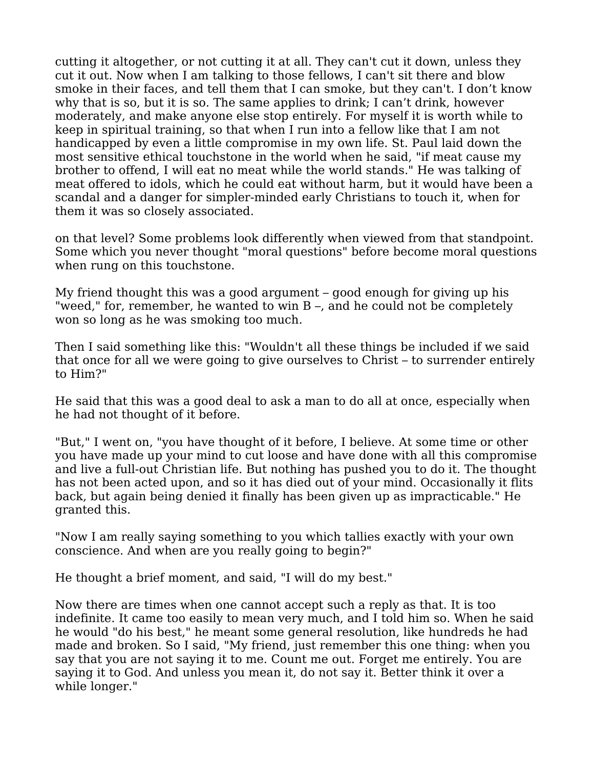cutting it altogether, or not cutting it at all. They can't cut it down, unless they cut it out. Now when I am talking to those fellows, I can't sit there and blow smoke in their faces, and tell them that I can smoke, but they can't. I don't know why that is so, but it is so. The same applies to drink; I can't drink, however moderately, and make anyone else stop entirely. For myself it is worth while to keep in spiritual training, so that when I run into a fellow like that I am not handicapped by even a little compromise in my own life. St. Paul laid down the most sensitive ethical touchstone in the world when he said, "if meat cause my brother to offend, I will eat no meat while the world stands." He was talking of meat offered to idols, which he could eat without harm, but it would have been a scandal and a danger for simpler-minded early Christians to touch it, when for them it was so closely associated.

on that level? Some problems look differently when viewed from that standpoint. Some which you never thought "moral questions" before become moral questions when rung on this touchstone.

My friend thought this was a good argument – good enough for giving up his "weed," for, remember, he wanted to win B –, and he could not be completely won so long as he was smoking too much.

Then I said something like this: "Wouldn't all these things be included if we said that once for all we were going to give ourselves to Christ – to surrender entirely to Him?"

He said that this was a good deal to ask a man to do all at once, especially when he had not thought of it before.

"But," I went on, "you have thought of it before, I believe. At some time or other you have made up your mind to cut loose and have done with all this compromise and live a full-out Christian life. But nothing has pushed you to do it. The thought has not been acted upon, and so it has died out of your mind. Occasionally it flits back, but again being denied it finally has been given up as impracticable." He granted this.

"Now I am really saying something to you which tallies exactly with your own conscience. And when are you really going to begin?"

He thought a brief moment, and said, "I will do my best."

Now there are times when one cannot accept such a reply as that. It is too indefinite. It came too easily to mean very much, and I told him so. When he said he would "do his best," he meant some general resolution, like hundreds he had made and broken. So I said, "My friend, just remember this one thing: when you say that you are not saying it to me. Count me out. Forget me entirely. You are saying it to God. And unless you mean it, do not say it. Better think it over a while longer."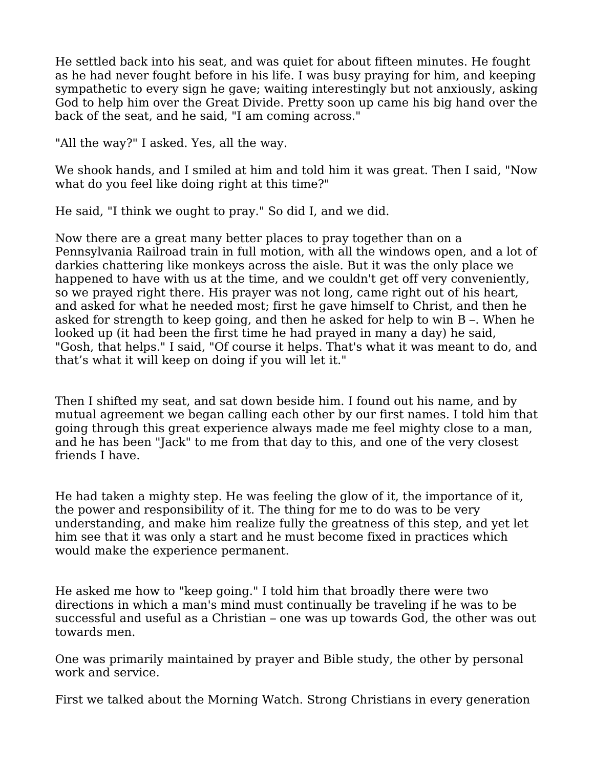He settled back into his seat, and was quiet for about fifteen minutes. He fought as he had never fought before in his life. I was busy praying for him, and keeping sympathetic to every sign he gave; waiting interestingly but not anxiously, asking God to help him over the Great Divide. Pretty soon up came his big hand over the back of the seat, and he said, "I am coming across."

"All the way?" I asked. Yes, all the way.

We shook hands, and I smiled at him and told him it was great. Then I said, "Now what do you feel like doing right at this time?"

He said, "I think we ought to pray." So did I, and we did.

Now there are a great many better places to pray together than on a Pennsylvania Railroad train in full motion, with all the windows open, and a lot of darkies chattering like monkeys across the aisle. But it was the only place we happened to have with us at the time, and we couldn't get off very conveniently, so we prayed right there. His prayer was not long, came right out of his heart, and asked for what he needed most; first he gave himself to Christ, and then he asked for strength to keep going, and then he asked for help to win B –. When he looked up (it had been the first time he had prayed in many a day) he said, "Gosh, that helps." I said, "Of course it helps. That's what it was meant to do, and that's what it will keep on doing if you will let it."

Then I shifted my seat, and sat down beside him. I found out his name, and by mutual agreement we began calling each other by our first names. I told him that going through this great experience always made me feel mighty close to a man, and he has been "Jack" to me from that day to this, and one of the very closest friends I have.

He had taken a mighty step. He was feeling the glow of it, the importance of it, the power and responsibility of it. The thing for me to do was to be very understanding, and make him realize fully the greatness of this step, and yet let him see that it was only a start and he must become fixed in practices which would make the experience permanent.

He asked me how to "keep going." I told him that broadly there were two directions in which a man's mind must continually be traveling if he was to be successful and useful as a Christian – one was up towards God, the other was out towards men.

One was primarily maintained by prayer and Bible study, the other by personal work and service.

First we talked about the Morning Watch. Strong Christians in every generation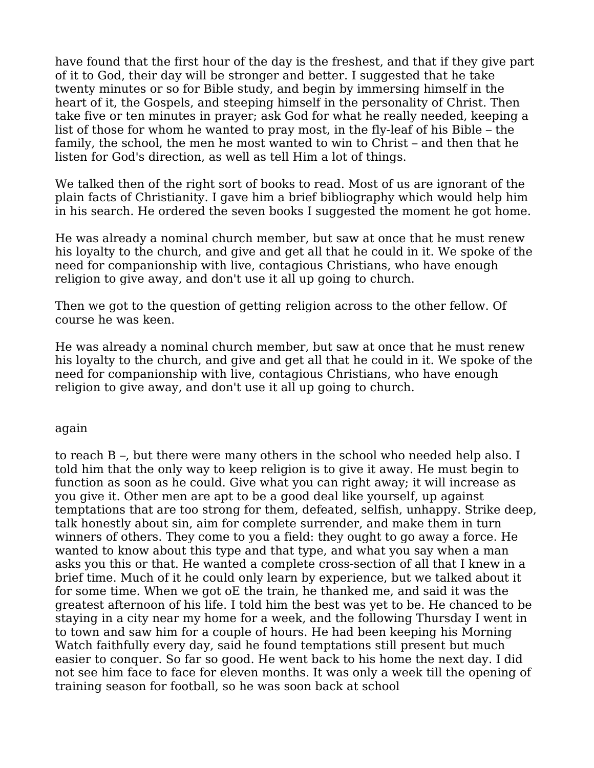have found that the first hour of the day is the freshest, and that if they give part of it to God, their day will be stronger and better. I suggested that he take twenty minutes or so for Bible study, and begin by immersing himself in the heart of it, the Gospels, and steeping himself in the personality of Christ. Then take five or ten minutes in prayer; ask God for what he really needed, keeping a list of those for whom he wanted to pray most, in the fly-leaf of his Bible – the family, the school, the men he most wanted to win to Christ – and then that he listen for God's direction, as well as tell Him a lot of things.

We talked then of the right sort of books to read. Most of us are ignorant of the plain facts of Christianity. I gave him a brief bibliography which would help him in his search. He ordered the seven books I suggested the moment he got home.

He was already a nominal church member, but saw at once that he must renew his loyalty to the church, and give and get all that he could in it. We spoke of the need for companionship with live, contagious Christians, who have enough religion to give away, and don't use it all up going to church.

Then we got to the question of getting religion across to the other fellow. Of course he was keen.

He was already a nominal church member, but saw at once that he must renew his loyalty to the church, and give and get all that he could in it. We spoke of the need for companionship with live, contagious Christians, who have enough religion to give away, and don't use it all up going to church.

## again

to reach B –, but there were many others in the school who needed help also. I told him that the only way to keep religion is to give it away. He must begin to function as soon as he could. Give what you can right away; it will increase as you give it. Other men are apt to be a good deal like yourself, up against temptations that are too strong for them, defeated, selfish, unhappy. Strike deep, talk honestly about sin, aim for complete surrender, and make them in turn winners of others. They come to you a field: they ought to go away a force. He wanted to know about this type and that type, and what you say when a man asks you this or that. He wanted a complete cross-section of all that I knew in a brief time. Much of it he could only learn by experience, but we talked about it for some time. When we got oE the train, he thanked me, and said it was the greatest afternoon of his life. I told him the best was yet to be. He chanced to be staying in a city near my home for a week, and the following Thursday I went in to town and saw him for a couple of hours. He had been keeping his Morning Watch faithfully every day, said he found temptations still present but much easier to conquer. So far so good. He went back to his home the next day. I did not see him face to face for eleven months. It was only a week till the opening of training season for football, so he was soon back at school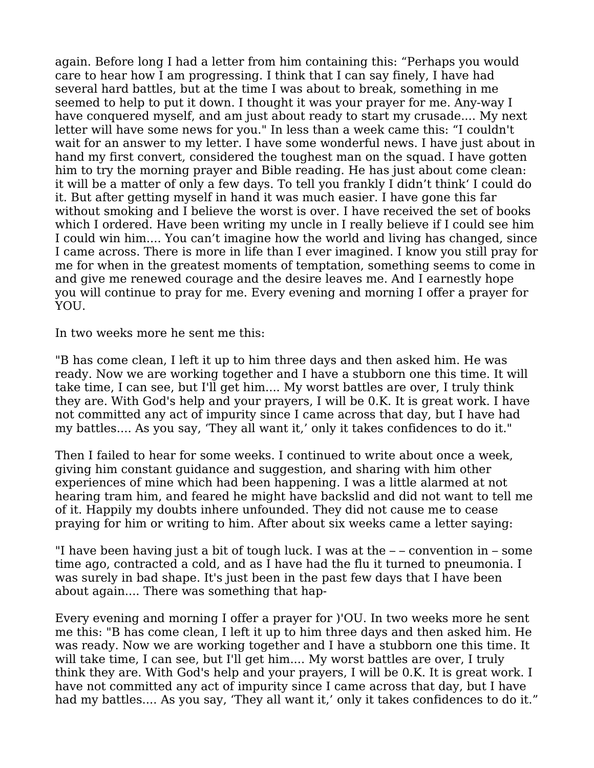again. Before long I had a letter from him containing this: "Perhaps you would care to hear how I am progressing. I think that I can say finely, I have had several hard battles, but at the time I was about to break, something in me seemed to help to put it down. I thought it was your prayer for me. Any-way I have conquered myself, and am just about ready to start my crusade.... My next letter will have some news for you." In less than a week came this: "I couldn't wait for an answer to my letter. I have some wonderful news. I have just about in hand my first convert, considered the toughest man on the squad. I have gotten him to try the morning prayer and Bible reading. He has just about come clean: it will be a matter of only a few days. To tell you frankly I didn't think' I could do it. But after getting myself in hand it was much easier. I have gone this far without smoking and I believe the worst is over. I have received the set of books which I ordered. Have been writing my uncle in I really believe if I could see him I could win him.... You can't imagine how the world and living has changed, since I came across. There is more in life than I ever imagined. I know you still pray for me for when in the greatest moments of temptation, something seems to come in and give me renewed courage and the desire leaves me. And I earnestly hope you will continue to pray for me. Every evening and morning I offer a prayer for YOU.

In two weeks more he sent me this:

"B has come clean, I left it up to him three days and then asked him. He was ready. Now we are working together and I have a stubborn one this time. It will take time, I can see, but I'll get him.... My worst battles are over, I truly think they are. With God's help and your prayers, I will be 0.K. It is great work. I have not committed any act of impurity since I came across that day, but I have had my battles.... As you say, 'They all want it,' only it takes confidences to do it."

Then I failed to hear for some weeks. I continued to write about once a week, giving him constant guidance and suggestion, and sharing with him other experiences of mine which had been happening. I was a little alarmed at not hearing tram him, and feared he might have backslid and did not want to tell me of it. Happily my doubts inhere unfounded. They did not cause me to cease praying for him or writing to him. After about six weeks came a letter saying:

"I have been having just a bit of tough luck. I was at the – – convention in – some time ago, contracted a cold, and as I have had the flu it turned to pneumonia. I was surely in bad shape. It's just been in the past few days that I have been about again.... There was something that hap-

Every evening and morning I offer a prayer for )'OU. In two weeks more he sent me this: "B has come clean, I left it up to him three days and then asked him. He was ready. Now we are working together and I have a stubborn one this time. It will take time, I can see, but I'll get him.... My worst battles are over, I truly think they are. With God's help and your prayers, I will be 0.K. It is great work. I have not committed any act of impurity since I came across that day, but I have had my battles.... As you say, 'They all want it,' only it takes confidences to do it."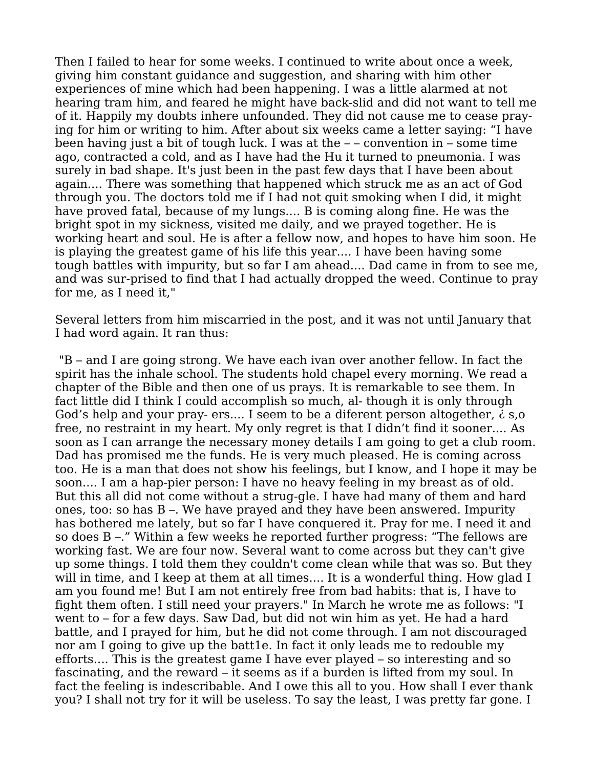Then I failed to hear for some weeks. I continued to write about once a week, giving him constant guidance and suggestion, and sharing with him other experiences of mine which had been happening. I was a little alarmed at not hearing tram him, and feared he might have back-slid and did not want to tell me of it. Happily my doubts inhere unfounded. They did not cause me to cease praying for him or writing to him. After about six weeks came a letter saying: "I have been having just a bit of tough luck. I was at the  $-$  – convention in – some time ago, contracted a cold, and as I have had the Hu it turned to pneumonia. I was surely in bad shape. It's just been in the past few days that I have been about again.... There was something that happened which struck me as an act of God through you. The doctors told me if I had not quit smoking when I did, it might have proved fatal, because of my lungs.... B is coming along fine. He was the bright spot in my sickness, visited me daily, and we prayed together. He is working heart and soul. He is after a fellow now, and hopes to have him soon. He is playing the greatest game of his life this year.... I have been having some tough battles with impurity, but so far I am ahead.... Dad came in from to see me, and was sur-prised to find that I had actually dropped the weed. Continue to pray for me, as I need it,"

Several letters from him miscarried in the post, and it was not until January that I had word again. It ran thus:

 "B – and I are going strong. We have each ivan over another fellow. In fact the spirit has the inhale school. The students hold chapel every morning. We read a chapter of the Bible and then one of us prays. It is remarkable to see them. In fact little did I think I could accomplish so much, al- though it is only through God's help and your pray- ers.... I seem to be a diferent person altogether,  $\dot{\epsilon}$  s, o free, no restraint in my heart. My only regret is that I didn't find it sooner.... As soon as I can arrange the necessary money details I am going to get a club room. Dad has promised me the funds. He is very much pleased. He is coming across too. He is a man that does not show his feelings, but I know, and I hope it may be soon.... I am a hap-pier person: I have no heavy feeling in my breast as of old. But this all did not come without a strug-gle. I have had many of them and hard ones, too: so has B –. We have prayed and they have been answered. Impurity has bothered me lately, but so far I have conquered it. Pray for me. I need it and so does B –." Within a few weeks he reported further progress: "The fellows are working fast. We are four now. Several want to come across but they can't give up some things. I told them they couldn't come clean while that was so. But they will in time, and I keep at them at all times.... It is a wonderful thing. How glad I am you found me! But I am not entirely free from bad habits: that is, I have to fight them often. I still need your prayers." In March he wrote me as follows: "I went to – for a few days. Saw Dad, but did not win him as yet. He had a hard battle, and I prayed for him, but he did not come through. I am not discouraged nor am I going to give up the batt1e. In fact it only leads me to redouble my efforts.... This is the greatest game I have ever played – so interesting and so fascinating, and the reward – it seems as if a burden is lifted from my soul. In fact the feeling is indescribable. And I owe this all to you. How shall I ever thank you? I shall not try for it will be useless. To say the least, I was pretty far gone. I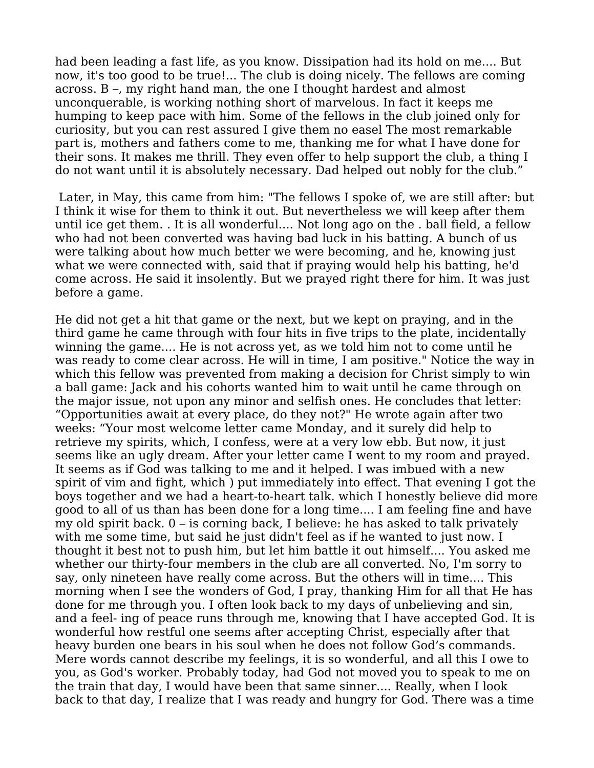had been leading a fast life, as you know. Dissipation had its hold on me.... But now, it's too good to be true!... The club is doing nicely. The fellows are coming across. B –, my right hand man, the one I thought hardest and almost unconquerable, is working nothing short of marvelous. In fact it keeps me humping to keep pace with him. Some of the fellows in the club joined only for curiosity, but you can rest assured I give them no easel The most remarkable part is, mothers and fathers come to me, thanking me for what I have done for their sons. It makes me thrill. They even offer to help support the club, a thing I do not want until it is absolutely necessary. Dad helped out nobly for the club."

 Later, in May, this came from him: "The fellows I spoke of, we are still after: but I think it wise for them to think it out. But nevertheless we will keep after them until ice get them. . It is all wonderful.... Not long ago on the . ball field, a fellow who had not been converted was having bad luck in his batting. A bunch of us were talking about how much better we were becoming, and he, knowing just what we were connected with, said that if praying would help his batting, he'd come across. He said it insolently. But we prayed right there for him. It was just before a game.

He did not get a hit that game or the next, but we kept on praying, and in the third game he came through with four hits in five trips to the plate, incidentally winning the game.... He is not across yet, as we told him not to come until he was ready to come clear across. He will in time, I am positive." Notice the way in which this fellow was prevented from making a decision for Christ simply to win a ball game: Jack and his cohorts wanted him to wait until he came through on the major issue, not upon any minor and selfish ones. He concludes that letter: "Opportunities await at every place, do they not?" He wrote again after two weeks: "Your most welcome letter came Monday, and it surely did help to retrieve my spirits, which, I confess, were at a very low ebb. But now, it just seems like an ugly dream. After your letter came I went to my room and prayed. It seems as if God was talking to me and it helped. I was imbued with a new spirit of vim and fight, which ) put immediately into effect. That evening I got the boys together and we had a heart-to-heart talk. which I honestly believe did more good to all of us than has been done for a long time.... I am feeling fine and have my old spirit back. 0 – is corning back, I believe: he has asked to talk privately with me some time, but said he just didn't feel as if he wanted to just now. I thought it best not to push him, but let him battle it out himself.... You asked me whether our thirty-four members in the club are all converted. No, I'm sorry to say, only nineteen have really come across. But the others will in time.... This morning when I see the wonders of God, I pray, thanking Him for all that He has done for me through you. I often look back to my days of unbelieving and sin, and a feel- ing of peace runs through me, knowing that I have accepted God. It is wonderful how restful one seems after accepting Christ, especially after that heavy burden one bears in his soul when he does not follow God's commands. Mere words cannot describe my feelings, it is so wonderful, and all this I owe to you, as God's worker. Probably today, had God not moved you to speak to me on the train that day, I would have been that same sinner.... Really, when I look back to that day, I realize that I was ready and hungry for God. There was a time